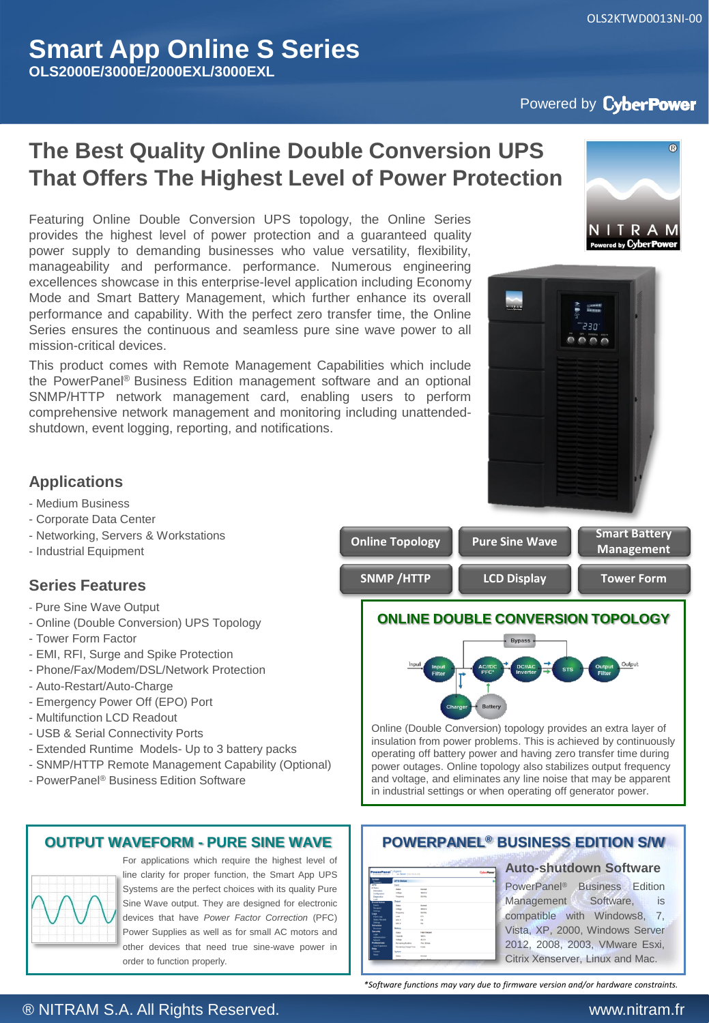OLS2KTWD0013NI-00

# Powered by CyberPower

# **The Best Quality Online Double Conversion UPS That Offers The Highest Level of Power Protection**

Featuring Online Double Conversion UPS topology, the Online Series provides the highest level of power protection and a guaranteed quality power supply to demanding businesses who value versatility, flexibility, manageability and performance. performance. Numerous engineering excellences showcase in this enterprise-level application including Economy Mode and Smart Battery Management, which further enhance its overall performance and capability. With the perfect zero transfer time, the Online Series ensures the continuous and seamless pure sine wave power to all mission-critical devices.

This product comes with Remote Management Capabilities which include the PowerPanel® Business Edition management software and an optional SNMP/HTTP network management card, enabling users to perform comprehensive network management and monitoring including unattendedshutdown, event logging, reporting, and notifications.





## **Applications**

#### - Medium Business

- Corporate Data Center
- Networking, Servers & Workstations
- Industrial Equipment

### **Series Features**

- Pure Sine Wave Output
- Online (Double Conversion) UPS Topology
- Tower Form Factor
- EMI, RFI, Surge and Spike Protection
- Phone/Fax/Modem/DSL/Network Protection
- Auto-Restart/Auto-Charge
- Emergency Power Off (EPO) Port
- Multifunction LCD Readout
- USB & Serial Connectivity Ports
- Extended Runtime Models- Up to 3 battery packs
- SNMP/HTTP Remote Management Capability (Optional)
- PowerPanel® Business Edition Software

#### **OUTPUT WAVEFORM - PURE SINE WAVE**



For applications which require the highest level of line clarity for proper function, the Smart App UPS Systems are the perfect choices with its quality Pure Sine Wave output. They are designed for electronic devices that have *Power Factor Correction* (PFC) Power Supplies as well as for small AC motors and other devices that need true sine-wave power in order to function properly.





Online (Double Conversion) topology provides an extra layer of insulation from power problems. This is achieved by continuously operating off battery power and having zero transfer time during power outages. Online topology also stabilizes output frequency and voltage, and eliminates any line noise that may be apparent in industrial settings or when operating off generator power.

#### **POWERPANEL® BUSINESS EDITION S/W**

| werPanel <sup>"  Agent</sup><br><b>Business Editor</b> | on Seney processions         |                      | <b>Cylor/Pow</b> |
|--------------------------------------------------------|------------------------------|----------------------|------------------|
| <b>System</b><br><b>Systems</b>                        | <b>LIPS Status</b>           |                      |                  |
| <b>USS</b>                                             | <b>bond</b>                  |                      |                  |
| * Status<br><b>Manufact</b>                            | <b>Data</b>                  | <b>State of</b>      |                  |
| Candinantino                                           | <b>TANK</b>                  | <b>SHAFT</b>         |                  |
| Daguator                                               | Regency                      | 14.5.00              |                  |
| <b>Local</b><br>Everet Action                          | <b>Curgust</b>               |                      |                  |
| <b>Germa</b>                                           | Date:                        | <b>Statute</b>       |                  |
| Focusert                                               | <b>Statute</b>               | <b>TREE</b> Y        |                  |
| <b>Select</b>                                          | Registric                    | 18.516               |                  |
| Legs                                                   | Load                         | $\sim$               |                  |
| Electrician<br>Status Records                          | <b>NOL</b> 6                 | $\sim$               |                  |
| between.                                               | me'n o                       | $\sim$               |                  |
| Schedule                                               |                              |                      |                  |
| <b>Shakoon</b>                                         | Esphera                      |                      |                  |
| Security<br>Legio                                      | <b>Total</b>                 | <b>Fully Charged</b> |                  |
| Athenication                                           | Canada                       | 100%                 |                  |
| <b>Simula</b>                                          | <b>TANK</b>                  | 43.5 V               |                  |
| <b>Proferences</b>                                     | Renanny Retire               | <b>The Monte</b>     |                  |
| User Expensess<br>Help.                                | <b>Remaining Change Time</b> | Emin.                |                  |
| <b>Curature</b>                                        | Space                        |                      |                  |
| men.                                                   | <b>Data</b>                  | <b>Normal</b>        |                  |
|                                                        | <b>Technologie</b>           | 2010/10/19           |                  |

#### **Auto-shutdown Software**

PowerPanel® Business Edition Management Software, is compatible with Windows8, 7, Vista, XP, 2000, Windows Server 2012, 2008, 2003, VMware Esxi, Citrix Xenserver, Linux and Mac.

*\*Software functions may vary due to firmware version and/or hardware constraints.*

### ® NITRAM S.A. All Rights Reserved. www.nitram.fr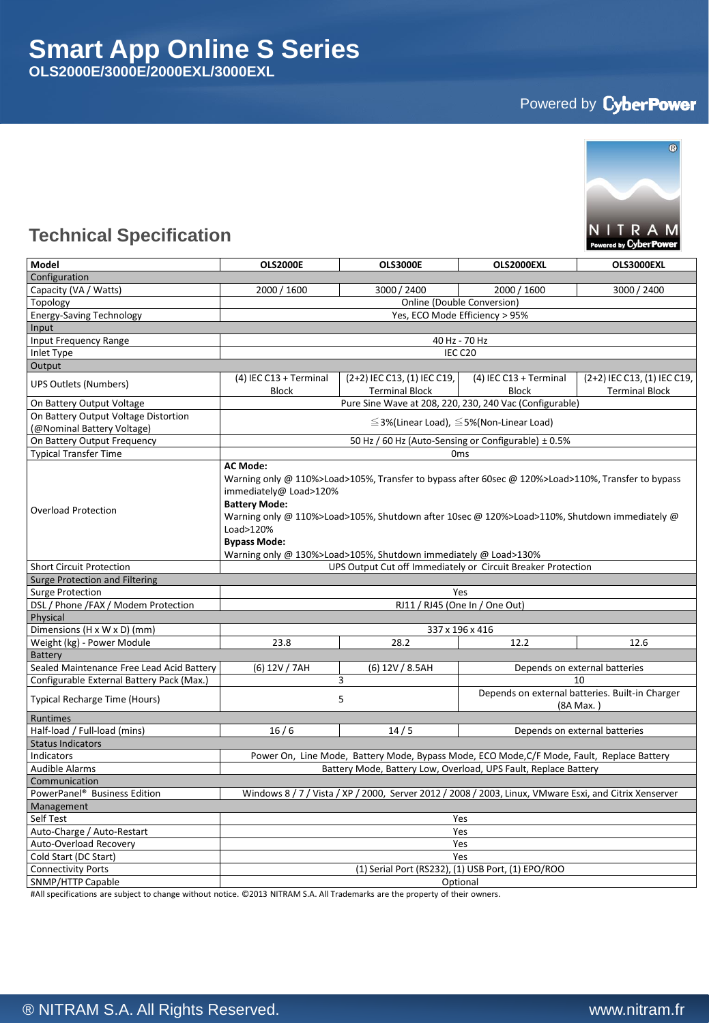# Powered by CyberPower



# **Technical Specification**

| Model                                                                                                                                              | <b>OLS2000E</b>                                                                                                                                                                                                                                                                                                                                                                | OLS3000E                                                | OLS2000EXL                                                   | OLS3000EXL                                           |  |  |  |
|----------------------------------------------------------------------------------------------------------------------------------------------------|--------------------------------------------------------------------------------------------------------------------------------------------------------------------------------------------------------------------------------------------------------------------------------------------------------------------------------------------------------------------------------|---------------------------------------------------------|--------------------------------------------------------------|------------------------------------------------------|--|--|--|
| Configuration                                                                                                                                      |                                                                                                                                                                                                                                                                                                                                                                                |                                                         |                                                              |                                                      |  |  |  |
| Capacity (VA / Watts)                                                                                                                              | 2000 / 1600                                                                                                                                                                                                                                                                                                                                                                    | 3000 / 2400                                             | 2000 / 1600                                                  | 3000 / 2400                                          |  |  |  |
| Topology                                                                                                                                           | Online (Double Conversion)                                                                                                                                                                                                                                                                                                                                                     |                                                         |                                                              |                                                      |  |  |  |
| <b>Energy-Saving Technology</b>                                                                                                                    | Yes, ECO Mode Efficiency > 95%                                                                                                                                                                                                                                                                                                                                                 |                                                         |                                                              |                                                      |  |  |  |
| Input                                                                                                                                              |                                                                                                                                                                                                                                                                                                                                                                                |                                                         |                                                              |                                                      |  |  |  |
| Input Frequency Range                                                                                                                              |                                                                                                                                                                                                                                                                                                                                                                                | 40 Hz - 70 Hz                                           |                                                              |                                                      |  |  |  |
| Inlet Type                                                                                                                                         | IEC C20                                                                                                                                                                                                                                                                                                                                                                        |                                                         |                                                              |                                                      |  |  |  |
| Output                                                                                                                                             |                                                                                                                                                                                                                                                                                                                                                                                |                                                         |                                                              |                                                      |  |  |  |
| <b>UPS Outlets (Numbers)</b>                                                                                                                       | (4) IEC C13 + Terminal<br><b>Block</b>                                                                                                                                                                                                                                                                                                                                         | (2+2) IEC C13, (1) IEC C19,<br><b>Terminal Block</b>    | (4) IEC C13 + Terminal<br><b>Block</b>                       | (2+2) IEC C13, (1) IEC C19,<br><b>Terminal Block</b> |  |  |  |
| On Battery Output Voltage                                                                                                                          |                                                                                                                                                                                                                                                                                                                                                                                | Pure Sine Wave at 208, 220, 230, 240 Vac (Configurable) |                                                              |                                                      |  |  |  |
| On Battery Output Voltage Distortion<br>(@Nominal Battery Voltage)                                                                                 | $\leq$ 3%(Linear Load), $\leq$ 5%(Non-Linear Load)                                                                                                                                                                                                                                                                                                                             |                                                         |                                                              |                                                      |  |  |  |
| On Battery Output Frequency                                                                                                                        | 50 Hz / 60 Hz (Auto-Sensing or Configurable) ± 0.5%                                                                                                                                                                                                                                                                                                                            |                                                         |                                                              |                                                      |  |  |  |
| <b>Typical Transfer Time</b>                                                                                                                       | 0 <sub>ms</sub>                                                                                                                                                                                                                                                                                                                                                                |                                                         |                                                              |                                                      |  |  |  |
| <b>Overload Protection</b>                                                                                                                         | <b>AC Mode:</b><br>Warning only @ 110%>Load>105%, Transfer to bypass after 60sec @ 120%>Load>110%, Transfer to bypass<br>immediately@ Load>120%<br><b>Battery Mode:</b><br>Warning only @ 110%>Load>105%, Shutdown after 10sec @ 120%>Load>110%, Shutdown immediately @<br>Load>120%<br><b>Bypass Mode:</b><br>Warning only @ 130%>Load>105%, Shutdown immediately @ Load>130% |                                                         |                                                              |                                                      |  |  |  |
| <b>Short Circuit Protection</b>                                                                                                                    | UPS Output Cut off Immediately or Circuit Breaker Protection                                                                                                                                                                                                                                                                                                                   |                                                         |                                                              |                                                      |  |  |  |
| <b>Surge Protection and Filtering</b>                                                                                                              |                                                                                                                                                                                                                                                                                                                                                                                |                                                         |                                                              |                                                      |  |  |  |
| <b>Surge Protection</b><br>Yes                                                                                                                     |                                                                                                                                                                                                                                                                                                                                                                                |                                                         |                                                              |                                                      |  |  |  |
| DSL / Phone /FAX / Modem Protection                                                                                                                | RJ11 / RJ45 (One In / One Out)                                                                                                                                                                                                                                                                                                                                                 |                                                         |                                                              |                                                      |  |  |  |
| Physical                                                                                                                                           |                                                                                                                                                                                                                                                                                                                                                                                |                                                         |                                                              |                                                      |  |  |  |
| Dimensions (H x W x D) (mm)                                                                                                                        |                                                                                                                                                                                                                                                                                                                                                                                | 337 x 196 x 416                                         |                                                              |                                                      |  |  |  |
| Weight (kg) - Power Module                                                                                                                         | 23.8                                                                                                                                                                                                                                                                                                                                                                           | 28.2                                                    | 12.2                                                         | 12.6                                                 |  |  |  |
| <b>Battery</b>                                                                                                                                     |                                                                                                                                                                                                                                                                                                                                                                                |                                                         |                                                              |                                                      |  |  |  |
| Sealed Maintenance Free Lead Acid Battery                                                                                                          | (6) 12V / 7AH                                                                                                                                                                                                                                                                                                                                                                  | (6) 12V / 8.5AH                                         |                                                              | Depends on external batteries                        |  |  |  |
| Configurable External Battery Pack (Max.)                                                                                                          |                                                                                                                                                                                                                                                                                                                                                                                | 3                                                       |                                                              | 10                                                   |  |  |  |
| <b>Typical Recharge Time (Hours)</b>                                                                                                               | 5                                                                                                                                                                                                                                                                                                                                                                              |                                                         | Depends on external batteries. Built-in Charger<br>(8A Max.) |                                                      |  |  |  |
| Runtimes                                                                                                                                           |                                                                                                                                                                                                                                                                                                                                                                                |                                                         |                                                              |                                                      |  |  |  |
| Half-load / Full-load (mins)                                                                                                                       | 16/6                                                                                                                                                                                                                                                                                                                                                                           | 14/5                                                    |                                                              | Depends on external batteries                        |  |  |  |
| <b>Status Indicators</b>                                                                                                                           |                                                                                                                                                                                                                                                                                                                                                                                |                                                         |                                                              |                                                      |  |  |  |
| Indicators                                                                                                                                         | Power On, Line Mode, Battery Mode, Bypass Mode, ECO Mode, C/F Mode, Fault, Replace Battery                                                                                                                                                                                                                                                                                     |                                                         |                                                              |                                                      |  |  |  |
| <b>Audible Alarms</b>                                                                                                                              | Battery Mode, Battery Low, Overload, UPS Fault, Replace Battery                                                                                                                                                                                                                                                                                                                |                                                         |                                                              |                                                      |  |  |  |
| Communication                                                                                                                                      |                                                                                                                                                                                                                                                                                                                                                                                |                                                         |                                                              |                                                      |  |  |  |
| PowerPanel <sup>®</sup> Business Edition<br>Windows 8 / 7 / Vista / XP / 2000, Server 2012 / 2008 / 2003, Linux, VMware Esxi, and Citrix Xenserver |                                                                                                                                                                                                                                                                                                                                                                                |                                                         |                                                              |                                                      |  |  |  |
| Management                                                                                                                                         |                                                                                                                                                                                                                                                                                                                                                                                |                                                         |                                                              |                                                      |  |  |  |
| Self Test                                                                                                                                          | Yes                                                                                                                                                                                                                                                                                                                                                                            |                                                         |                                                              |                                                      |  |  |  |
| Auto-Charge / Auto-Restart                                                                                                                         |                                                                                                                                                                                                                                                                                                                                                                                | Yes                                                     |                                                              |                                                      |  |  |  |
| Auto-Overload Recovery                                                                                                                             |                                                                                                                                                                                                                                                                                                                                                                                | Yes                                                     |                                                              |                                                      |  |  |  |
| Cold Start (DC Start)                                                                                                                              | Yes                                                                                                                                                                                                                                                                                                                                                                            |                                                         |                                                              |                                                      |  |  |  |
| <b>Connectivity Ports</b>                                                                                                                          | (1) Serial Port (RS232), (1) USB Port, (1) EPO/ROO                                                                                                                                                                                                                                                                                                                             |                                                         |                                                              |                                                      |  |  |  |
| SNMP/HTTP Capable                                                                                                                                  | Optional                                                                                                                                                                                                                                                                                                                                                                       |                                                         |                                                              |                                                      |  |  |  |

#All specifications are subject to change without notice. © 2013 NITRAM S.A. All Trademarks are the property of their owners.